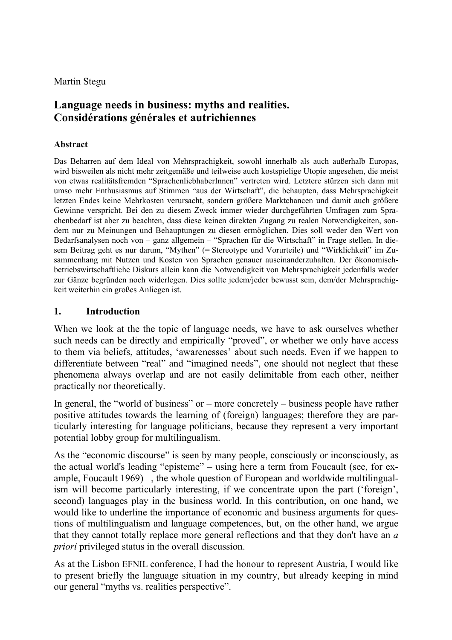Martin Stegu

# **Language needs in business: myths and realities. Considérations générales et autrichiennes**

#### **Abstract**

Das Beharren auf dem Ideal von Mehrsprachigkeit, sowohl innerhalb als auch außerhalb Europas, wird bisweilen als nicht mehr zeitgemäße und teilweise auch kostspielige Utopie angesehen, die meist von etwas realitätsfremden "SprachenliebhaberInnen" vertreten wird. Letztere stürzen sich dann mit umso mehr Enthusiasmus auf Stimmen "aus der Wirtschaft", die behaupten, dass Mehrsprachigkeit letzten Endes keine Mehrkosten verursacht, sondern größere Marktchancen und damit auch größere Gewinne verspricht. Bei den zu diesem Zweck immer wieder durchgeführten Umfragen zum Sprachenbedarf ist aber zu beachten, dass diese keinen direkten Zugang zu realen Notwendigkeiten, sondern nur zu Meinungen und Behauptungen zu diesen ermöglichen. Dies soll weder den Wert von Bedarfsanalysen noch von – ganz allgemein – "Sprachen für die Wirtschaft" in Frage stellen. In diesem Beitrag geht es nur darum, "Mythen" (= Stereotype und Vorurteile) und "Wirklichkeit" im Zusammenhang mit Nutzen und Kosten von Sprachen genauer auseinanderzuhalten. Der ökonomischbetriebswirtschaftliche Diskurs allein kann die Notwendigkeit von Mehrsprachigkeit jedenfalls weder zur Gänze begründen noch widerlegen. Dies sollte jedem/jeder bewusst sein, dem/der Mehrsprachigkeit weiterhin ein großes Anliegen ist.

#### **1. Introduction**

When we look at the the topic of language needs, we have to ask ourselves whether such needs can be directly and empirically "proved", or whether we only have access to them via beliefs, attitudes, 'awarenesses' about such needs. Even if we happen to differentiate between "real" and "imagined needs", one should not neglect that these phenomena always overlap and are not easily delimitable from each other, neither practically nor theoretically.

In general, the "world of business" or – more concretely – business people have rather positive attitudes towards the learning of (foreign) languages; therefore they are particularly interesting for language politicians, because they represent a very important potential lobby group for multilingualism.

As the "economic discourse" is seen by many people, consciously or inconsciously, as the actual world's leading "episteme" – using here a term from Foucault (see, for example, Foucault 1969) –, the whole question of European and worldwide multilingualism will become particularly interesting, if we concentrate upon the part ('foreign', second) languages play in the business world. In this contribution, on one hand, we would like to underline the importance of economic and business arguments for questions of multilingualism and language competences, but, on the other hand, we argue that they cannot totally replace more general reflections and that they don't have an *a priori* privileged status in the overall discussion.

As at the Lisbon EFNIL conference, I had the honour to represent Austria, I would like to present briefly the language situation in my country, but already keeping in mind our general "myths vs. realities perspective".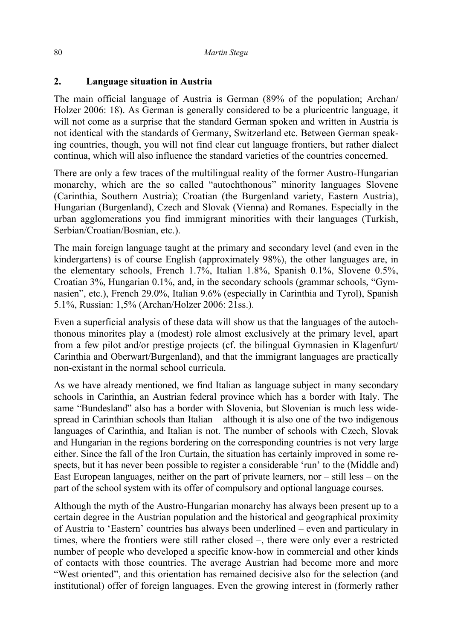### **2. Language situation in Austria**

The main official language of Austria is German (89% of the population; Archan/ Holzer 2006: 18). As German is generally considered to be a pluricentric language, it will not come as a surprise that the standard German spoken and written in Austria is not identical with the standards of Germany, Switzerland etc. Between German speaking countries, though, you will not find clear cut language frontiers, but rather dialect continua, which will also influence the standard varieties of the countries concerned.

There are only a few traces of the multilingual reality of the former Austro-Hungarian monarchy, which are the so called "autochthonous" minority languages Slovene (Carinthia, Southern Austria); Croatian (the Burgenland variety, Eastern Austria), Hungarian (Burgenland), Czech and Slovak (Vienna) and Romanes. Especially in the urban agglomerations you find immigrant minorities with their languages (Turkish, Serbian/Croatian/Bosnian, etc.).

The main foreign language taught at the primary and secondary level (and even in the kindergartens) is of course English (approximately 98%), the other languages are, in the elementary schools, French 1.7%, Italian 1.8%, Spanish 0.1%, Slovene 0.5%, Croatian 3%, Hungarian 0.1%, and, in the secondary schools (grammar schools, "Gymnasien", etc.), French 29.0%, Italian 9.6% (especially in Carinthia and Tyrol), Spanish 5.1%, Russian: 1,5% (Archan/Holzer 2006: 21ss.).

Even a superficial analysis of these data will show us that the languages of the autochthonous minorites play a (modest) role almost exclusively at the primary level, apart from a few pilot and/or prestige projects (cf. the bilingual Gymnasien in Klagenfurt/ Carinthia and Oberwart/Burgenland), and that the immigrant languages are practically non-existant in the normal school curricula.

As we have already mentioned, we find Italian as language subject in many secondary schools in Carinthia, an Austrian federal province which has a border with Italy. The same "Bundesland" also has a border with Slovenia, but Slovenian is much less widespread in Carinthian schools than Italian – although it is also one of the two indigenous languages of Carinthia, and Italian is not. The number of schools with Czech, Slovak and Hungarian in the regions bordering on the corresponding countries is not very large either. Since the fall of the Iron Curtain, the situation has certainly improved in some respects, but it has never been possible to register a considerable 'run' to the (Middle and) East European languages, neither on the part of private learners, nor – still less – on the part of the school system with its offer of compulsory and optional language courses.

Although the myth of the Austro-Hungarian monarchy has always been present up to a certain degree in the Austrian population and the historical and geographical proximity of Austria to 'Eastern' countries has always been underlined – even and particulary in times, where the frontiers were still rather closed –, there were only ever a restricted number of people who developed a specific know-how in commercial and other kinds of contacts with those countries. The average Austrian had become more and more "West oriented", and this orientation has remained decisive also for the selection (and institutional) offer of foreign languages. Even the growing interest in (formerly rather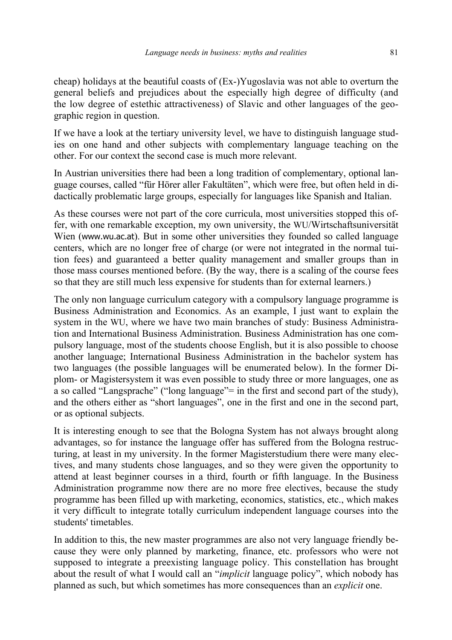cheap) holidays at the beautiful coasts of (Ex-)Yugoslavia was not able to overturn the general beliefs and prejudices about the especially high degree of difficulty (and the low degree of estethic attractiveness) of Slavic and other languages of the geographic region in question.

If we have a look at the tertiary university level, we have to distinguish language studies on one hand and other subjects with complementary language teaching on the other. For our context the second case is much more relevant.

In Austrian universities there had been a long tradition of complementary, optional language courses, called "für Hörer aller Fakultäten", which were free, but often held in didactically problematic large groups, especially for languages like Spanish and Italian.

As these courses were not part of the core curricula, most universities stopped this offer, with one remarkable exception, my own university, the WU/Wirtschaftsuniversität Wien (www.wu.ac.at). But in some other universities they founded so called language centers, which are no longer free of charge (or were not integrated in the normal tuition fees) and guaranteed a better quality management and smaller groups than in those mass courses mentioned before. (By the way, there is a scaling of the course fees so that they are still much less expensive for students than for external learners.)

The only non language curriculum category with a compulsory language programme is Business Administration and Economics. As an example, I just want to explain the system in the WU, where we have two main branches of study: Business Administration and International Business Administration. Business Administration has one compulsory language, most of the students choose English, but it is also possible to choose another language; International Business Administration in the bachelor system has two languages (the possible languages will be enumerated below). In the former Diplom- or Magistersystem it was even possible to study three or more languages, one as a so called "Langsprache" ("long language"= in the first and second part of the study), and the others either as "short languages", one in the first and one in the second part, or as optional subjects.

It is interesting enough to see that the Bologna System has not always brought along advantages, so for instance the language offer has suffered from the Bologna restructuring, at least in my university. In the former Magisterstudium there were many electives, and many students chose languages, and so they were given the opportunity to attend at least beginner courses in a third, fourth or fifth language. In the Business Administration programme now there are no more free electives, because the study programme has been filled up with marketing, economics, statistics, etc., which makes it very difficult to integrate totally curriculum independent language courses into the students' timetables.

In addition to this, the new master programmes are also not very language friendly because they were only planned by marketing, finance, etc. professors who were not supposed to integrate a preexisting language policy. This constellation has brought about the result of what I would call an "*implicit* language policy", which nobody has planned as such, but which sometimes has more consequences than an *explicit* one.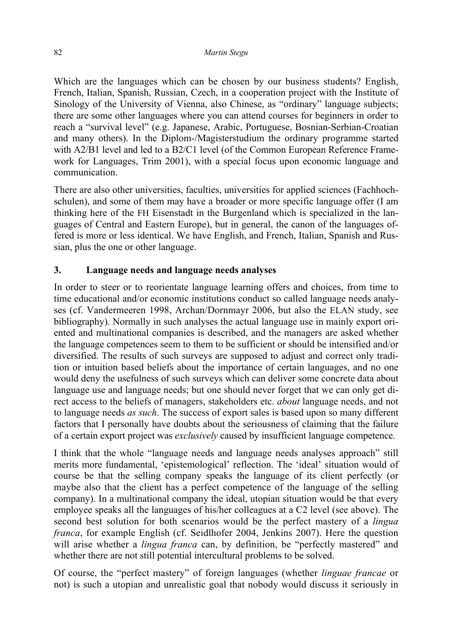Which are the languages which can be chosen by our business students? English, French, Italian, Spanish, Russian, Czech, in a cooperation project with the Institute of Sinology of the University of Vienna, also Chinese, as "ordinary" language subjects; there are some other languages where you can attend courses for beginners in order to reach a "survival level" (e.g. Japanese, Arabic, Portuguese, Bosnian-Serbian-Croatian and many others). In the Diplom-/Magisterstudium the ordinary programme started with A2/B1 level and led to a B2/C1 level (of the Common European Reference Framework for Languages, Trim 2001), with a special focus upon economic language and communication.

There are also other universities, faculties, universities for applied sciences (Fachhochschulen), and some of them may have a broader or more specific language offer (I am thinking here of the FH Eisenstadt in the Burgenland which is specialized in the languages of Central and Eastern Europe), but in general, the canon of the languages offered is more or less identical. We have English, and French, Italian, Spanish and Russian, plus the one or other language.

# **3. Language needs and language needs analyses**

In order to steer or to reorientate language learning offers and choices, from time to time educational and/or economic institutions conduct so called language needs analyses (cf. Vandermeeren 1998, Archan/Dornmayr 2006, but also the ELAN study, see bibliography). Normally in such analyses the actual language use in mainly export oriented and multinational companies is described, and the managers are asked whether the language competences seem to them to be sufficient or should be intensified and/or diversified. The results of such surveys are supposed to adjust and correct only tradition or intuition based beliefs about the importance of certain languages, and no one would deny the usefulness of such surveys which can deliver some concrete data about language use and language needs; but one should never forget that we can only get direct access to the beliefs of managers, stakeholders etc. *about* language needs, and not to language needs *as such*. The success of export sales is based upon so many different factors that I personally have doubts about the seriousness of claiming that the failure of a certain export project was *exclusively* caused by insufficient language competence.

I think that the whole "language needs and language needs analyses approach" still merits more fundamental, 'epistemological' reflection. The 'ideal' situation would of course be that the selling company speaks the language of its client perfectly (or maybe also that the client has a perfect competence of the language of the selling company). In a multinational company the ideal, utopian situation would be that every employee speaks all the languages of his/her colleagues at a C2 level (see above). The second best solution for both scenarios would be the perfect mastery of a *lingua franca*, for example English (cf. Seidlhofer 2004, Jenkins 2007). Here the question will arise whether a *lingua franca* can, by definition, be "perfectly mastered" and whether there are not still potential intercultural problems to be solved.

Of course, the "perfect mastery" of foreign languages (whether *linguae francae* or not) is such a utopian and unrealistic goal that nobody would discuss it seriously in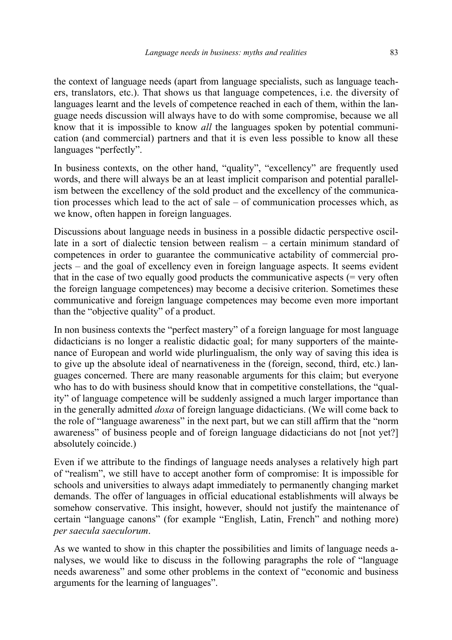the context of language needs (apart from language specialists, such as language teachers, translators, etc.). That shows us that language competences, i.e. the diversity of languages learnt and the levels of competence reached in each of them, within the language needs discussion will always have to do with some compromise, because we all know that it is impossible to know *all* the languages spoken by potential communication (and commercial) partners and that it is even less possible to know all these languages "perfectly".

In business contexts, on the other hand, "quality", "excellency" are frequently used words, and there will always be an at least implicit comparison and potential parallelism between the excellency of the sold product and the excellency of the communication processes which lead to the act of sale – of communication processes which, as we know, often happen in foreign languages.

Discussions about language needs in business in a possible didactic perspective oscillate in a sort of dialectic tension between realism – a certain minimum standard of competences in order to guarantee the communicative actability of commercial projects – and the goal of excellency even in foreign language aspects. It seems evident that in the case of two equally good products the communicative aspects  $($  = very often the foreign language competences) may become a decisive criterion. Sometimes these communicative and foreign language competences may become even more important than the "objective quality" of a product.

In non business contexts the "perfect mastery" of a foreign language for most language didacticians is no longer a realistic didactic goal; for many supporters of the maintenance of European and world wide plurlingualism, the only way of saving this idea is to give up the absolute ideal of nearnativeness in the (foreign, second, third, etc.) languages concerned. There are many reasonable arguments for this claim; but everyone who has to do with business should know that in competitive constellations, the "quality" of language competence will be suddenly assigned a much larger importance than in the generally admitted *doxa* of foreign language didacticians. (We will come back to the role of "language awareness" in the next part, but we can still affirm that the "norm awareness" of business people and of foreign language didacticians do not [not yet?] absolutely coincide.)

Even if we attribute to the findings of language needs analyses a relatively high part of "realism", we still have to accept another form of compromise: It is impossible for schools and universities to always adapt immediately to permanently changing market demands. The offer of languages in official educational establishments will always be somehow conservative. This insight, however, should not justify the maintenance of certain "language canons" (for example "English, Latin, French" and nothing more) *per saecula saeculorum*.

As we wanted to show in this chapter the possibilities and limits of language needs analyses, we would like to discuss in the following paragraphs the role of "language needs awareness" and some other problems in the context of "economic and business arguments for the learning of languages".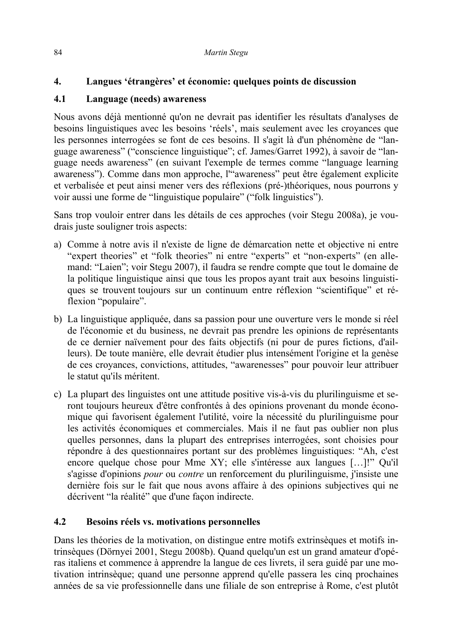# **4. Langues 'étrangères' et économie: quelques points de discussion**

### **4.1 Language (needs) awareness**

Nous avons déjà mentionné qu'on ne devrait pas identifier les résultats d'analyses de besoins linguistiques avec les besoins 'réels', mais seulement avec les croyances que les personnes interrogées se font de ces besoins. Il s'agit là d'un phénomène de "language awareness" ("conscience linguistique"; cf. James/Garret 1992), à savoir de "language needs awareness" (en suivant l'exemple de termes comme "language learning awareness"). Comme dans mon approche, l'"awareness" peut être également explicite et verbalisée et peut ainsi mener vers des réflexions (pré-)théoriques, nous pourrons y voir aussi une forme de "linguistique populaire" ("folk linguistics").

Sans trop vouloir entrer dans les détails de ces approches (voir Stegu 2008a), je voudrais juste souligner trois aspects:

- a) Comme à notre avis il n'existe de ligne de démarcation nette et objective ni entre "expert theories" et "folk theories" ni entre "experts" et "non-experts" (en allemand: "Laien"; voir Stegu 2007), il faudra se rendre compte que tout le domaine de la politique linguistique ainsi que tous les propos ayant trait aux besoins linguistiques se trouvent toujours sur un continuum entre réflexion "scientifique" et réflexion "populaire".
- b) La linguistique appliquée, dans sa passion pour une ouverture vers le monde si réel de l'économie et du business, ne devrait pas prendre les opinions de représentants de ce dernier naïvement pour des faits objectifs (ni pour de pures fictions, d'ailleurs). De toute manière, elle devrait étudier plus intensément l'origine et la genèse de ces croyances, convictions, attitudes, "awarenesses" pour pouvoir leur attribuer le statut qu'ils méritent.
- c) La plupart des linguistes ont une attitude positive vis-à-vis du plurilinguisme et seront toujours heureux d'être confrontés à des opinions provenant du monde économique qui favorisent également l'utilité, voire la nécessité du plurilinguisme pour les activités économiques et commerciales. Mais il ne faut pas oublier non plus quelles personnes, dans la plupart des entreprises interrogées, sont choisies pour répondre à des questionnaires portant sur des problèmes linguistiques: "Ah, c'est encore quelque chose pour Mme XY; elle s'intéresse aux langues […]!" Qu'il s'agisse d'opinions *pour* ou *contre* un renforcement du plurilinguisme, j'insiste une dernière fois sur le fait que nous avons affaire à des opinions subjectives qui ne décrivent "la réalité" que d'une façon indirecte.

# **4.2 Besoins réels vs. motivations personnelles**

Dans les théories de la motivation, on distingue entre motifs extrinsèques et motifs intrinsèques (Dörnyei 2001, Stegu 2008b). Quand quelqu'un est un grand amateur d'opéras italiens et commence à apprendre la langue de ces livrets, il sera guidé par une motivation intrinsèque; quand une personne apprend qu'elle passera les cinq prochaines années de sa vie professionnelle dans une filiale de son entreprise à Rome, c'est plutôt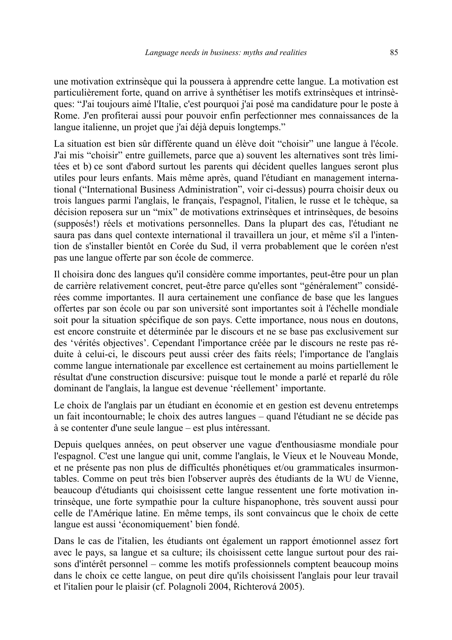une motivation extrinsèque qui la poussera à apprendre cette langue. La motivation est particulièrement forte, quand on arrive à synthétiser les motifs extrinsèques et intrinsèques: "J'ai toujours aimé l'Italie, c'est pourquoi j'ai posé ma candidature pour le poste à Rome. J'en profiterai aussi pour pouvoir enfin perfectionner mes connaissances de la langue italienne, un projet que j'ai déjà depuis longtemps."

La situation est bien sûr différente quand un élève doit "choisir" une langue à l'école. J'ai mis "choisir" entre guillemets, parce que a) souvent les alternatives sont très limitées et b) ce sont d'abord surtout les parents qui décident quelles langues seront plus utiles pour leurs enfants. Mais même après, quand l'étudiant en management international ("International Business Administration", voir ci-dessus) pourra choisir deux ou trois langues parmi l'anglais, le français, l'espagnol, l'italien, le russe et le tchèque, sa décision reposera sur un "mix" de motivations extrinsèques et intrinsèques, de besoins (supposés!) réels et motivations personnelles. Dans la plupart des cas, l'étudiant ne saura pas dans quel contexte international il travaillera un jour, et même s'il a l'intention de s'installer bientôt en Corée du Sud, il verra probablement que le coréen n'est pas une langue offerte par son école de commerce.

Il choisira donc des langues qu'il considère comme importantes, peut-être pour un plan de carrière relativement concret, peut-être parce qu'elles sont "généralement" considérées comme importantes. Il aura certainement une confiance de base que les langues offertes par son école ou par son université sont importantes soit à l'échelle mondiale soit pour la situation spécifique de son pays. Cette importance, nous nous en doutons, est encore construite et déterminée par le discours et ne se base pas exclusivement sur des 'vérités objectives'. Cependant l'importance créée par le discours ne reste pas réduite à celui-ci, le discours peut aussi créer des faits réels; l'importance de l'anglais comme langue internationale par excellence est certainement au moins partiellement le résultat d'une construction discursive: puisque tout le monde a parlé et reparlé du rôle dominant de l'anglais, la langue est devenue 'réellement' importante.

Le choix de l'anglais par un étudiant en économie et en gestion est devenu entretemps un fait incontournable; le choix des autres langues – quand l'étudiant ne se décide pas à se contenter d'une seule langue – est plus intéressant.

Depuis quelques années, on peut observer une vague d'enthousiasme mondiale pour l'espagnol. C'est une langue qui unit, comme l'anglais, le Vieux et le Nouveau Monde, et ne présente pas non plus de difficultés phonétiques et/ou grammaticales insurmontables. Comme on peut très bien l'observer auprès des étudiants de la WU de Vienne, beaucoup d'étudiants qui choisissent cette langue ressentent une forte motivation intrinsèque, une forte sympathie pour la culture hispanophone, très souvent aussi pour celle de l'Amérique latine. En même temps, ils sont convaincus que le choix de cette langue est aussi 'économiquement' bien fondé.

Dans le cas de l'italien, les étudiants ont également un rapport émotionnel assez fort avec le pays, sa langue et sa culture; ils choisissent cette langue surtout pour des raisons d'intérêt personnel – comme les motifs professionnels comptent beaucoup moins dans le choix ce cette langue, on peut dire qu'ils choisissent l'anglais pour leur travail et l'italien pour le plaisir (cf. Polagnoli 2004, Richterová 2005).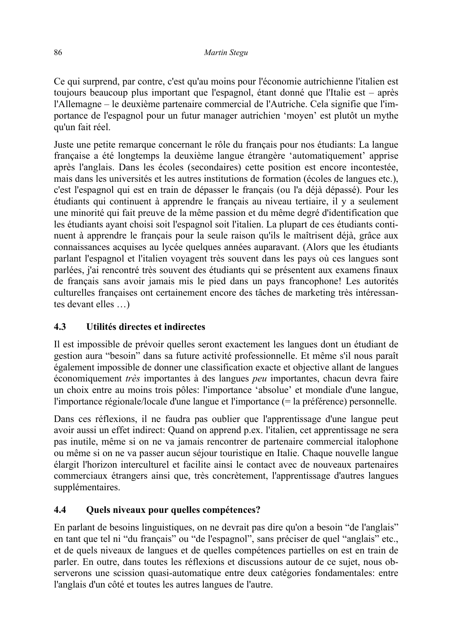Ce qui surprend, par contre, c'est qu'au moins pour l'économie autrichienne l'italien est toujours beaucoup plus important que l'espagnol, étant donné que l'Italie est – après l'Allemagne – le deuxième partenaire commercial de l'Autriche. Cela signifie que l'importance de l'espagnol pour un futur manager autrichien 'moyen' est plutôt un mythe qu'un fait réel.

Juste une petite remarque concernant le rôle du français pour nos étudiants: La langue française a été longtemps la deuxième langue étrangère 'automatiquement' apprise après l'anglais. Dans les écoles (secondaires) cette position est encore incontestée, mais dans les universités et les autres institutions de formation (écoles de langues etc.), c'est l'espagnol qui est en train de dépasser le français (ou l'a déjà dépassé). Pour les étudiants qui continuent à apprendre le français au niveau tertiaire, il y a seulement une minorité qui fait preuve de la même passion et du même degré d'identification que les étudiants ayant choisi soit l'espagnol soit l'italien. La plupart de ces étudiants continuent à apprendre le français pour la seule raison qu'ils le maîtrisent déjà, grâce aux connaissances acquises au lycée quelques années auparavant. (Alors que les étudiants parlant l'espagnol et l'italien voyagent très souvent dans les pays où ces langues sont parlées, j'ai rencontré très souvent des étudiants qui se présentent aux examens finaux de français sans avoir jamais mis le pied dans un pays francophone! Les autorités culturelles françaises ont certainement encore des tâches de marketing très intéressantes devant elles …)

# **4.3 Utilités directes et indirectes**

Il est impossible de prévoir quelles seront exactement les langues dont un étudiant de gestion aura "besoin" dans sa future activité professionnelle. Et même s'il nous paraît également impossible de donner une classification exacte et objective allant de langues économiquement *très* importantes à des langues *peu* importantes, chacun devra faire un choix entre au moins trois pôles: l'importance 'absolue' et mondiale d'une langue, l'importance régionale/locale d'une langue et l'importance (= la préférence) personnelle.

Dans ces réflexions, il ne faudra pas oublier que l'apprentissage d'une langue peut avoir aussi un effet indirect: Quand on apprend p.ex. l'italien, cet apprentissage ne sera pas inutile, même si on ne va jamais rencontrer de partenaire commercial italophone ou même si on ne va passer aucun séjour touristique en Italie. Chaque nouvelle langue élargit l'horizon interculturel et facilite ainsi le contact avec de nouveaux partenaires commerciaux étrangers ainsi que, très concrètement, l'apprentissage d'autres langues supplémentaires.

# **4.4 Quels niveaux pour quelles compétences?**

En parlant de besoins linguistiques, on ne devrait pas dire qu'on a besoin "de l'anglais" en tant que tel ni "du français" ou "de l'espagnol", sans préciser de quel "anglais" etc., et de quels niveaux de langues et de quelles compétences partielles on est en train de parler. En outre, dans toutes les réflexions et discussions autour de ce sujet, nous observerons une scission quasi-automatique entre deux catégories fondamentales: entre l'anglais d'un côté et toutes les autres langues de l'autre.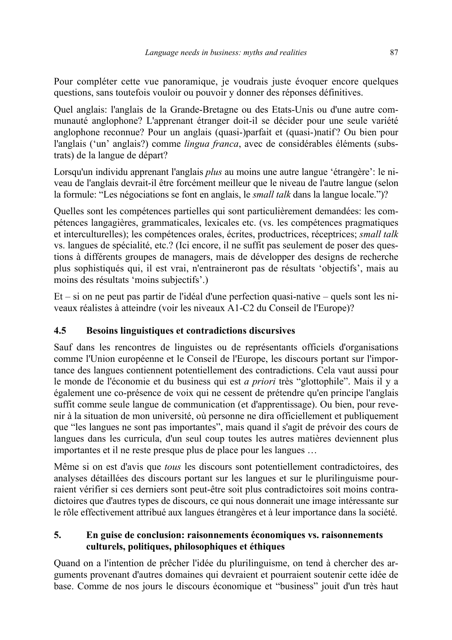Pour compléter cette vue panoramique, je voudrais juste évoquer encore quelques questions, sans toutefois vouloir ou pouvoir y donner des réponses définitives.

Quel anglais: l'anglais de la Grande-Bretagne ou des Etats-Unis ou d'une autre communauté anglophone? L'apprenant étranger doit-il se décider pour une seule variété anglophone reconnue? Pour un anglais (quasi-)parfait et (quasi-)natif ? Ou bien pour l'anglais ('un' anglais?) comme *lingua franca*, avec de considérables éléments (substrats) de la langue de départ?

Lorsqu'un individu apprenant l'anglais *plus* au moins une autre langue 'étrangère': le niveau de l'anglais devrait-il être forcément meilleur que le niveau de l'autre langue (selon la formule: "Les négociations se font en anglais, le *small talk* dans la langue locale.")?

Quelles sont les compétences partielles qui sont particulièrement demandées: les compétences langagières, grammaticales, lexicales etc. (vs. les compétences pragmatiques et interculturelles); les compétences orales, écrites, productrices, réceptrices; *small talk* vs. langues de spécialité, etc.? (Ici encore, il ne suffit pas seulement de poser des questions à différents groupes de managers, mais de développer des designs de recherche plus sophistiqués qui, il est vrai, n'entraineront pas de résultats 'objectifs', mais au moins des résultats 'moins subjectifs'.)

Et – si on ne peut pas partir de l'idéal d'une perfection quasi-native – quels sont les niveaux réalistes à atteindre (voir les niveaux A1-C2 du Conseil de l'Europe)?

# **4.5 Besoins linguistiques et contradictions discursives**

Sauf dans les rencontres de linguistes ou de représentants officiels d'organisations comme l'Union européenne et le Conseil de l'Europe, les discours portant sur l'importance des langues contiennent potentiellement des contradictions. Cela vaut aussi pour le monde de l'économie et du business qui est *a priori* très "glottophile". Mais il y a également une co-présence de voix qui ne cessent de prétendre qu'en principe l'anglais suffit comme seule langue de communication (et d'apprentissage). Ou bien, pour revenir à la situation de mon université, où personne ne dira officiellement et publiquement que "les langues ne sont pas importantes", mais quand il s'agit de prévoir des cours de langues dans les curricula, d'un seul coup toutes les autres matières deviennent plus importantes et il ne reste presque plus de place pour les langues …

Même si on est d'avis que *tous* les discours sont potentiellement contradictoires, des analyses détaillées des discours portant sur les langues et sur le plurilinguisme pourraient vérifier si ces derniers sont peut-être soit plus contradictoires soit moins contradictoires que d'autres types de discours, ce qui nous donnerait une image intéressante sur le rôle effectivement attribué aux langues étrangères et à leur importance dans la société.

### **5. En guise de conclusion: raisonnements économiques vs. raisonnements culturels, politiques, philosophiques et éthiques**

Quand on a l'intention de prêcher l'idée du plurilinguisme, on tend à chercher des arguments provenant d'autres domaines qui devraient et pourraient soutenir cette idée de base. Comme de nos jours le discours économique et "business" jouit d'un très haut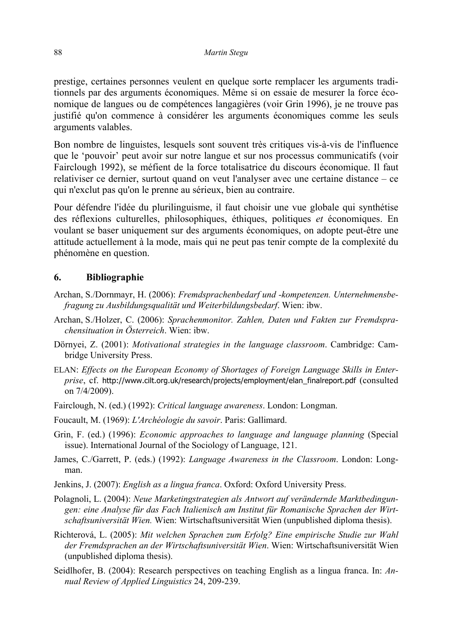prestige, certaines personnes veulent en quelque sorte remplacer les arguments traditionnels par des arguments économiques. Même si on essaie de mesurer la force économique de langues ou de compétences langagières (voir Grin 1996), je ne trouve pas justifié qu'on commence à considérer les arguments économiques comme les seuls arguments valables.

Bon nombre de linguistes, lesquels sont souvent très critiques vis-à-vis de l'influence que le 'pouvoir' peut avoir sur notre langue et sur nos processus communicatifs (voir Fairclough 1992), se méfient de la force totalisatrice du discours économique. Il faut relativiser ce dernier, surtout quand on veut l'analyser avec une certaine distance – ce qui n'exclut pas qu'on le prenne au sérieux, bien au contraire.

Pour défendre l'idée du plurilinguisme, il faut choisir une vue globale qui synthétise des réflexions culturelles, philosophiques, éthiques, politiques *et* économiques. En voulant se baser uniquement sur des arguments économiques, on adopte peut-être une attitude actuellement à la mode, mais qui ne peut pas tenir compte de la complexité du phénomène en question.

#### **6. Bibliographie**

- Archan, S./Dornmayr, H. (2006): *Fremdsprachenbedarf und -kompetenzen. Unternehmensbefragung zu Ausbildungsqualität und Weiterbildungsbedarf*. Wien: ibw.
- Archan, S./Holzer, C. (2006): *Sprachenmonitor. Zahlen, Daten und Fakten zur Fremdsprachensituation in Österreich*. Wien: ibw.
- Dörnyei, Z. (2001): *Motivational strategies in the language classroom*. Cambridge: Cambridge University Press.
- ELAN: *Effects on the European Economy of Shortages of Foreign Language Skills in Enterprise*, cf. http://www.cilt.org.uk/research/projects/employment/elan\_finalreport.pdf (consulted on 7/4/2009).
- Fairclough, N. (ed.) (1992): *Critical language awareness*. London: Longman.
- Foucault, M. (1969): *L'Archéologie du savoir*. Paris: Gallimard.
- Grin, F. (ed.) (1996): *Economic approaches to language and language planning* (Special issue). International Journal of the Sociology of Language, 121.
- James, C./Garrett, P. (eds.) (1992): *Language Awareness in the Classroom*. London: Longman.
- Jenkins, J. (2007): *English as a lingua franca*. Oxford: Oxford University Press.
- Polagnoli, L. (2004): *Neue Marketingstrategien als Antwort auf verändernde Marktbedingungen: eine Analyse für das Fach Italienisch am Institut für Romanische Sprachen der Wirtschaftsuniversität Wien.* Wien: Wirtschaftsuniversität Wien (unpublished diploma thesis).
- Richterová, L. (2005): *Mit welchen Sprachen zum Erfolg? Eine empirische Studie zur Wahl der Fremdsprachen an der Wirtschaftsuniversität Wien*. Wien: Wirtschaftsuniversität Wien (unpublished diploma thesis).
- Seidlhofer, B. (2004): Research perspectives on teaching English as a lingua franca. In: *Annual Review of Applied Linguistics* 24, 209-239.